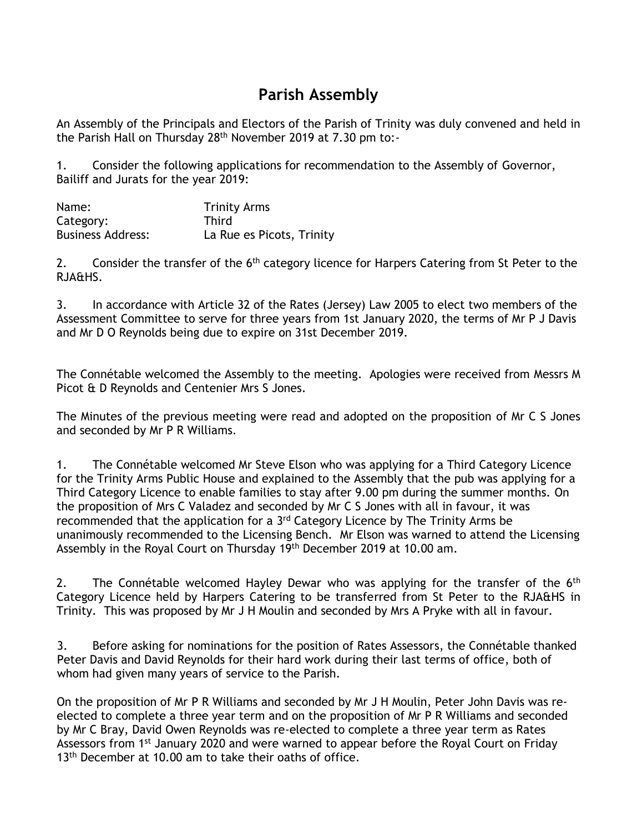## **Parish Assembly**

An Assembly of the Principals and Electors of the Parish of Trinity was duly convened and held in the Parish Hall on Thursday 28<sup>th</sup> November 2019 at 7.30 pm to:-

1. Consider the following applications for recommendation to the Assembly of Governor, Bailiff and Jurats for the year 2019:

| Name:                    | <b>Trinity Arms</b>       |
|--------------------------|---------------------------|
| Category:                | <b>Third</b>              |
| <b>Business Address:</b> | La Rue es Picots, Trinity |

2. Consider the transfer of the 6<sup>th</sup> category licence for Harpers Catering from St Peter to the RJA&HS.

3. In accordance with Article 32 of the Rates (Jersey) Law 2005 to elect two members of the Assessment Committee to serve for three years from 1st January 2020, the terms of Mr P J Davis and Mr D O Reynolds being due to expire on 31st December 2019.

The Connétable welcomed the Assembly to the meeting. Apologies were received from Messrs M Picot & D Reynolds and Centenier Mrs S Jones.

The Minutes of the previous meeting were read and adopted on the proposition of Mr C S Jones and seconded by Mr P R Williams.

1. The Connétable welcomed Mr Steve Elson who was applying for a Third Category Licence for the Trinity Arms Public House and explained to the Assembly that the pub was applying for a Third Category Licence to enable families to stay after 9.00 pm during the summer months. On the proposition of Mrs C Valadez and seconded by Mr C S Jones with all in favour, it was recommended that the application for a 3<sup>rd</sup> Category Licence by The Trinity Arms be unanimously recommended to the Licensing Bench. Mr Elson was warned to attend the Licensing Assembly in the Royal Court on Thursday 19th December 2019 at 10.00 am.

2. The Connétable welcomed Hayley Dewar who was applying for the transfer of the 6<sup>th</sup> Category Licence held by Harpers Catering to be transferred from St Peter to the RJA&HS in Trinity. This was proposed by Mr J H Moulin and seconded by Mrs A Pryke with all in favour.

3. Before asking for nominations for the position of Rates Assessors, the Connétable thanked Peter Davis and David Reynolds for their hard work during their last terms of office, both of whom had given many years of service to the Parish.

On the proposition of Mr P R Williams and seconded by Mr J H Moulin, Peter John Davis was reelected to complete a three year term and on the proposition of Mr P R Williams and seconded by Mr C Bray, David Owen Reynolds was re-elected to complete a three year term as Rates Assessors from 1st January 2020 and were warned to appear before the Royal Court on Friday 13<sup>th</sup> December at 10.00 am to take their oaths of office.